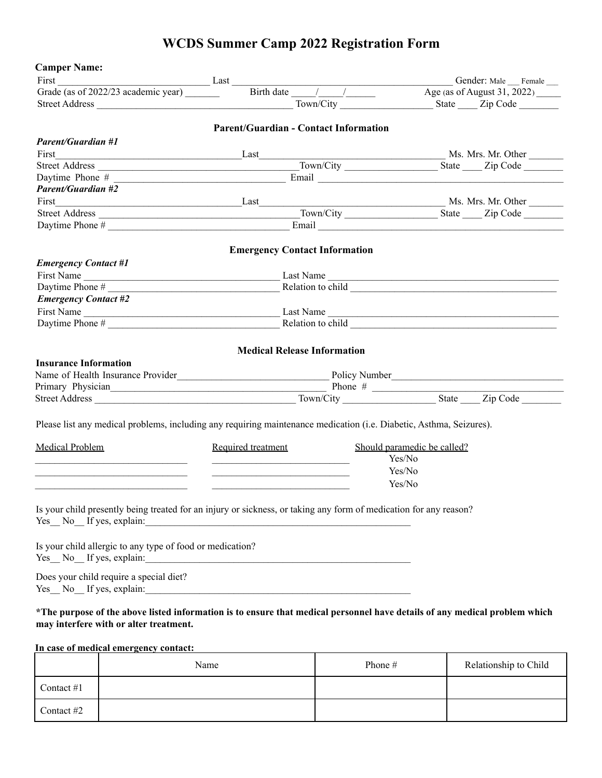# **WCDS Summer Camp 2022 Registration Form**

| <b>Camper Name:</b>                                                                                                                                                  |                                                                                                                        |                             |  |
|----------------------------------------------------------------------------------------------------------------------------------------------------------------------|------------------------------------------------------------------------------------------------------------------------|-----------------------------|--|
|                                                                                                                                                                      | Last Last Conder: Male Female Level of August 31, 2022)                                                                |                             |  |
| Grade (as of 2022/23 academic year)                                                                                                                                  |                                                                                                                        |                             |  |
|                                                                                                                                                                      |                                                                                                                        | Town/City State Zip Code    |  |
|                                                                                                                                                                      | <b>Parent/Guardian - Contact Information</b>                                                                           |                             |  |
| <b>Parent/Guardian #1</b>                                                                                                                                            |                                                                                                                        |                             |  |
|                                                                                                                                                                      |                                                                                                                        | Ms. Mrs. Mr. Other          |  |
|                                                                                                                                                                      |                                                                                                                        |                             |  |
|                                                                                                                                                                      |                                                                                                                        |                             |  |
| <b>Parent/Guardian #2</b>                                                                                                                                            |                                                                                                                        |                             |  |
|                                                                                                                                                                      |                                                                                                                        |                             |  |
|                                                                                                                                                                      |                                                                                                                        |                             |  |
|                                                                                                                                                                      |                                                                                                                        |                             |  |
|                                                                                                                                                                      | <b>Emergency Contact Information</b>                                                                                   |                             |  |
| <b>Emergency Contact #1</b>                                                                                                                                          |                                                                                                                        |                             |  |
|                                                                                                                                                                      |                                                                                                                        | Last Name                   |  |
| First Name<br>Daytime Phone #                                                                                                                                        |                                                                                                                        |                             |  |
| <b>Emergency Contact #2</b>                                                                                                                                          |                                                                                                                        |                             |  |
|                                                                                                                                                                      |                                                                                                                        |                             |  |
| First Name<br>Daytime Phone #                                                                                                                                        |                                                                                                                        |                             |  |
| <b>Insurance Information</b><br>Name of Health Insurance Provider <b>Mame of Health Insurance Provider Solution</b> 2018                                             |                                                                                                                        |                             |  |
|                                                                                                                                                                      |                                                                                                                        |                             |  |
|                                                                                                                                                                      |                                                                                                                        |                             |  |
| Please list any medical problems, including any requiring maintenance medication (i.e. Diabetic, Asthma, Seizures).                                                  |                                                                                                                        |                             |  |
| <b>Medical Problem</b>                                                                                                                                               | Required treatment                                                                                                     | Should paramedic be called? |  |
|                                                                                                                                                                      | <u> 1989 - Johann John Harry Harry Harry Harry Harry Harry Harry Harry Harry Harry Harry Harry Harry Harry Harry H</u> | Yes/No                      |  |
|                                                                                                                                                                      |                                                                                                                        | Yes/No                      |  |
|                                                                                                                                                                      |                                                                                                                        | Yes/No                      |  |
|                                                                                                                                                                      |                                                                                                                        |                             |  |
| Is your child presently being treated for an injury or sickness, or taking any form of medication for any reason?<br>Yes No If yes, explain:                         | <u> 1989 - Johann Harry Harry Harry Harry Harry Harry Harry Harry Harry Harry Harry Harry Harry Harry Harry Harry</u>  |                             |  |
| Is your child allergic to any type of food or medication?<br>Yes No If yes, explain:                                                                                 | <u> 1989 - Johann Stoff, fransk konger og det forskellige og det forskellige og det forskellige og det forskellig</u>  |                             |  |
| Does your child require a special diet?                                                                                                                              |                                                                                                                        |                             |  |
| *The purpose of the above listed information is to ensure that medical personnel have details of any medical problem which<br>may interfere with or alter treatment. |                                                                                                                        |                             |  |

# **In case of medical emergency contact:**

|              | Name | Phone # | Relationship to Child |
|--------------|------|---------|-----------------------|
| Contact $#1$ |      |         |                       |
| Contact #2   |      |         |                       |

F